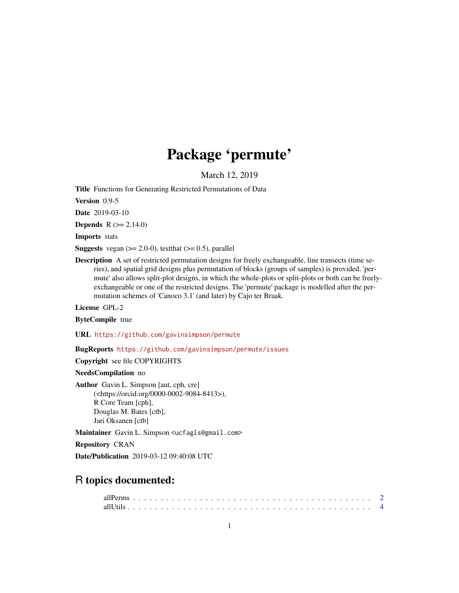# Package 'permute'

March 12, 2019

<span id="page-0-0"></span>Title Functions for Generating Restricted Permutations of Data

Version 0.9-5

Date 2019-03-10

**Depends**  $R (= 2.14.0)$ 

Imports stats

**Suggests** vegan  $(>= 2.0-0)$ , test that  $(>= 0.5)$ , parallel

Description A set of restricted permutation designs for freely exchangeable, line transects (time series), and spatial grid designs plus permutation of blocks (groups of samples) is provided. 'permute' also allows split-plot designs, in which the whole-plots or split-plots or both can be freelyexchangeable or one of the restricted designs. The 'permute' package is modelled after the permutation schemes of 'Canoco 3.1' (and later) by Cajo ter Braak.

License GPL-2

ByteCompile true

URL <https://github.com/gavinsimpson/permute>

BugReports <https://github.com/gavinsimpson/permute/issues>

Copyright see file COPYRIGHTS

NeedsCompilation no

Author Gavin L. Simpson [aut, cph, cre] (<https://orcid.org/0000-0002-9084-8413>), R Core Team [cph], Douglas M. Bates [ctb], Jari Oksanen [ctb]

Maintainer Gavin L. Simpson <ucfagls@gmail.com>

Repository CRAN

Date/Publication 2019-03-12 09:40:08 UTC

# R topics documented: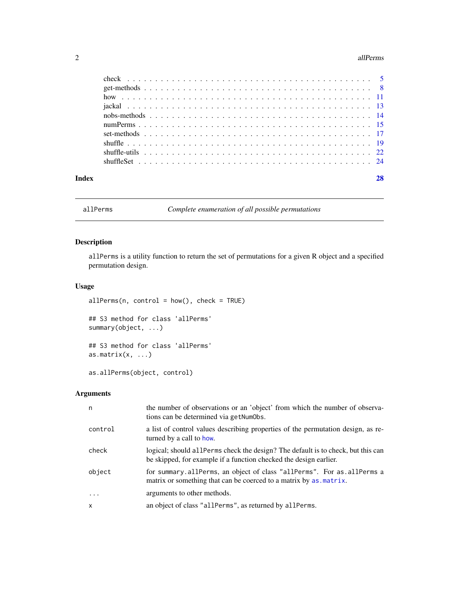#### <span id="page-1-0"></span>2 all Perms and the contract of the contract of the contract of the contract of the contract of the contract of the contract of the contract of the contract of the contract of the contract of the contract of the contract o

| Index |  |  |
|-------|--|--|

<span id="page-1-1"></span>allPerms *Complete enumeration of all possible permutations*

# Description

allPerms is a utility function to return the set of permutations for a given R object and a specified permutation design.

# Usage

 $allPerms(n, control = how(), check = TRUE)$ 

## S3 method for class 'allPerms' summary(object, ...)

## S3 method for class 'allPerms' as.matrix $(x, \ldots)$ 

as.allPerms(object, control)

# Arguments

| n            | the number of observations or an 'object' from which the number of observa-<br>tions can be determined via get NumObs.                                 |
|--------------|--------------------------------------------------------------------------------------------------------------------------------------------------------|
| control      | a list of control values describing properties of the permutation design, as re-<br>turned by a call to how.                                           |
| check        | logical; should all Perms check the design? The default is to check, but this can<br>be skipped, for example if a function checked the design earlier. |
| object       | for summary.allPerms, an object of class "allPerms". For as.allPerms a<br>matrix or something that can be coerced to a matrix by as matrix.            |
| $\cdot$      | arguments to other methods.                                                                                                                            |
| $\mathsf{x}$ | an object of class "allPerms", as returned by allPerms.                                                                                                |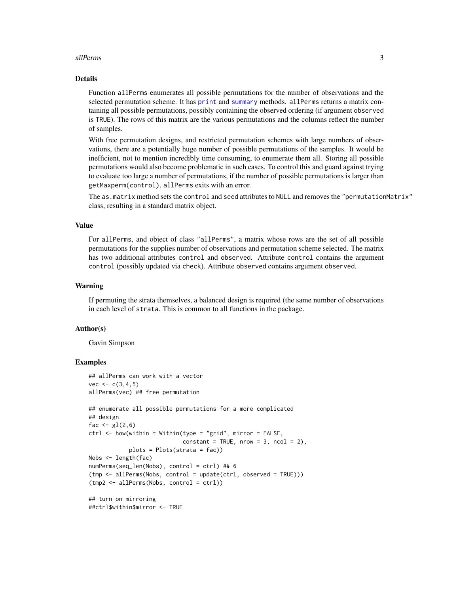#### <span id="page-2-0"></span>allPerms 3

# Details

Function allPerms enumerates all possible permutations for the number of observations and the selected permutation scheme. It has [print](#page-0-0) and [summary](#page-0-0) methods. allPerms returns a matrix containing all possible permutations, possibly containing the observed ordering (if argument observed is TRUE). The rows of this matrix are the various permutations and the columns reflect the number of samples.

With free permutation designs, and restricted permutation schemes with large numbers of observations, there are a potentially huge number of possible permutations of the samples. It would be inefficient, not to mention incredibly time consuming, to enumerate them all. Storing all possible permutations would also become problematic in such cases. To control this and guard against trying to evaluate too large a number of permutations, if the number of possible permutations is larger than getMaxperm(control), allPerms exits with an error.

The as.matrix method sets the control and seed attributes to NULL and removes the "permutationMatrix" class, resulting in a standard matrix object.

#### Value

For allPerms, and object of class "allPerms", a matrix whose rows are the set of all possible permutations for the supplies number of observations and permutation scheme selected. The matrix has two additional attributes control and observed. Attribute control contains the argument control (possibly updated via check). Attribute observed contains argument observed.

#### Warning

If permuting the strata themselves, a balanced design is required (the same number of observations in each level of strata. This is common to all functions in the package.

#### Author(s)

Gavin Simpson

#### Examples

```
## allPerms can work with a vector
vec < - c(3, 4, 5)allPerms(vec) ## free permutation
## enumerate all possible permutations for a more complicated
## design
fac \leftarrow gl(2,6)
ctrl <- how(within = Within(type = "grid", mirror = FALSE,
                            constant = TRUE, nrow = 3, ncol = 2,
            plots = Plots(strata = fac))
Nobs <- length(fac)
numPerms(seq_len(Nobs), control = ctrl) ## 6
(tmp <- allPerms(Nobs, control = update(ctrl, observed = TRUE)))
(tmp2 <- allPerms(Nobs, control = ctrl))
## turn on mirroring
##ctrl$within$mirror <- TRUE
```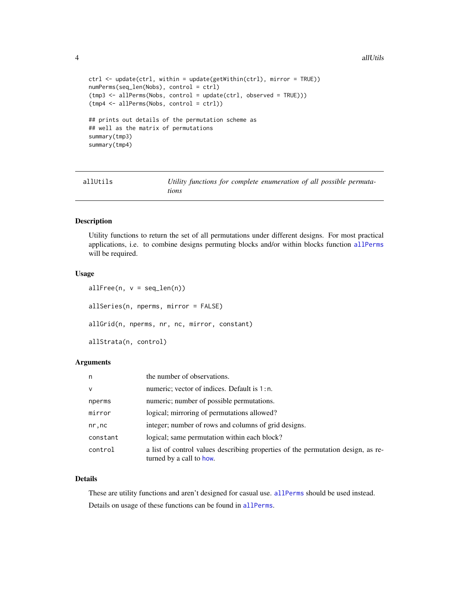#### 4 all the contract of the contract of the contract of the contract of the contract of the contract of the contract of the contract of the contract of the contract of the contract of the contract of the contract of the cont

```
ctrl <- update(ctrl, within = update(getWithin(ctrl), mirror = TRUE))
numPerms(seq_len(Nobs), control = ctrl)
(tmp3 <- allPerms(Nobs, control = update(ctrl, observed = TRUE)))
(tmp4 <- allPerms(Nobs, control = ctrl))
## prints out details of the permutation scheme as
## well as the matrix of permutations
summary(tmp3)
summary(tmp4)
```
allUtils *Utility functions for complete enumeration of all possible permutations*

#### **Description**

Utility functions to return the set of all permutations under different designs. For most practical applications, i.e. to combine designs permuting blocks and/or within blocks function [allPerms](#page-1-1) will be required.

#### Usage

```
allFree(n, v = seq\_len(n))allSeries(n, nperms, mirror = FALSE)
allGrid(n, nperms, nr, nc, mirror, constant)
allStrata(n, control)
```
# Arguments

| n.           | the number of observations.                                                                                  |
|--------------|--------------------------------------------------------------------------------------------------------------|
| $\mathsf{V}$ | numeric; vector of indices. Default is 1:n.                                                                  |
| nperms       | numeric; number of possible permutations.                                                                    |
| mirror       | logical; mirroring of permutations allowed?                                                                  |
| nr, nc       | integer; number of rows and columns of grid designs.                                                         |
| constant     | logical; same permutation within each block?                                                                 |
| control      | a list of control values describing properties of the permutation design, as re-<br>turned by a call to how. |

# Details

These are utility functions and aren't designed for casual use. [allPerms](#page-1-1) should be used instead. Details on usage of these functions can be found in [allPerms](#page-1-1).

<span id="page-3-0"></span>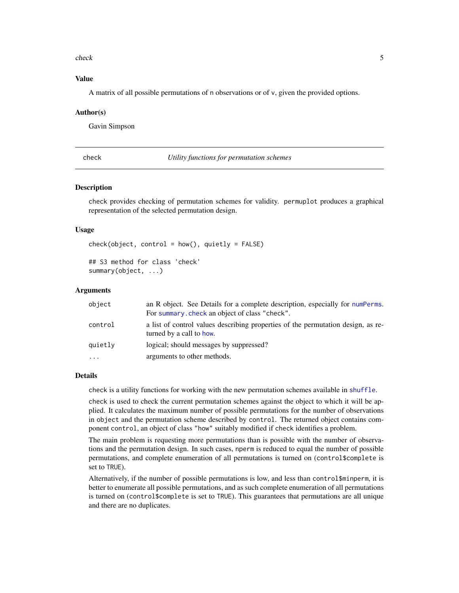#### <span id="page-4-0"></span>check 5

### Value

A matrix of all possible permutations of n observations or of v, given the provided options.

#### Author(s)

Gavin Simpson

<span id="page-4-2"></span>check *Utility functions for permutation schemes*

#### <span id="page-4-1"></span>**Description**

check provides checking of permutation schemes for validity. permuplot produces a graphical representation of the selected permutation design.

#### Usage

```
check(object, control = how(), quietly = FALSE)## S3 method for class 'check'
summary(object, ...)
```
#### Arguments

| object    | an R object. See Details for a complete description, especially for numPerms.<br>For summary, check an object of class "check". |
|-----------|---------------------------------------------------------------------------------------------------------------------------------|
| control   | a list of control values describing properties of the permutation design, as re-<br>turned by a call to how.                    |
| quietly   | logical; should messages by suppressed?                                                                                         |
| $\ddotsc$ | arguments to other methods.                                                                                                     |

#### Details

check is a utility functions for working with the new permutation schemes available in [shuffle](#page-18-1).

check is used to check the current permutation schemes against the object to which it will be applied. It calculates the maximum number of possible permutations for the number of observations in object and the permutation scheme described by control. The returned object contains component control, an object of class "how" suitably modified if check identifies a problem.

The main problem is requesting more permutations than is possible with the number of observations and the permutation design. In such cases, nperm is reduced to equal the number of possible permutations, and complete enumeration of all permutations is turned on (control\$complete is set to TRUE).

Alternatively, if the number of possible permutations is low, and less than control\$minperm, it is better to enumerate all possible permutations, and as such complete enumeration of all permutations is turned on (control\$complete is set to TRUE). This guarantees that permutations are all unique and there are no duplicates.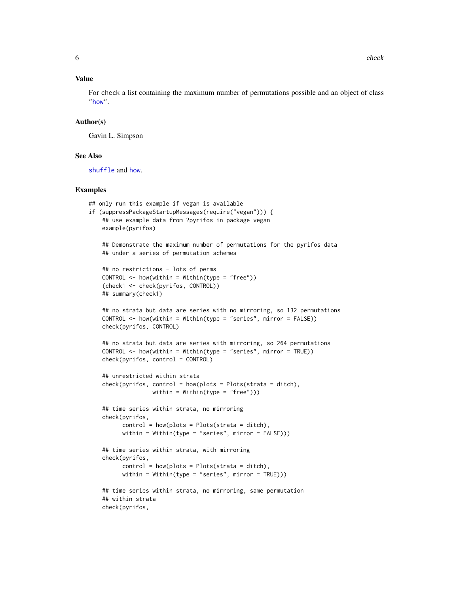# <span id="page-5-0"></span>Value

For check a list containing the maximum number of permutations possible and an object of class ["how"](#page-10-1).

#### Author(s)

Gavin L. Simpson

#### See Also

[shuffle](#page-18-1) and [how](#page-10-1).

#### Examples

```
## only run this example if vegan is available
if (suppressPackageStartupMessages(require("vegan"))) {
   ## use example data from ?pyrifos in package vegan
   example(pyrifos)
   ## Demonstrate the maximum number of permutations for the pyrifos data
   ## under a series of permutation schemes
   ## no restrictions - lots of perms
   CONTROL < - \hbox{how} (within = Within(type = "free"))(check1 <- check(pyrifos, CONTROL))
   ## summary(check1)
   ## no strata but data are series with no mirroring, so 132 permutations
   CONTROL < - \hbox{how} (within = Within (type = "series", mirror = FALSE))check(pyrifos, CONTROL)
   ## no strata but data are series with mirroring, so 264 permutations
   CONTROL <- how(within = Within(type = "series", mirror = TRUE))
   check(pyrifos, control = CONTROL)## unrestricted within strata
   check(pyrifos, control = how(plots = Plots(strata = ditch),
                   within = Within(type = "free"))## time series within strata, no mirroring
   check(pyrifos,
          control = how(plots = Plots(stracta = dictb)),within = Within(type = "series", mirror = FALSE)))
   ## time series within strata, with mirroring
   check(pyrifos,
          control = how(plots = Plots(strata = ditch)),within = Within(type = "series", mirror = TRUE)))
   ## time series within strata, no mirroring, same permutation
   ## within strata
   check(pyrifos,
```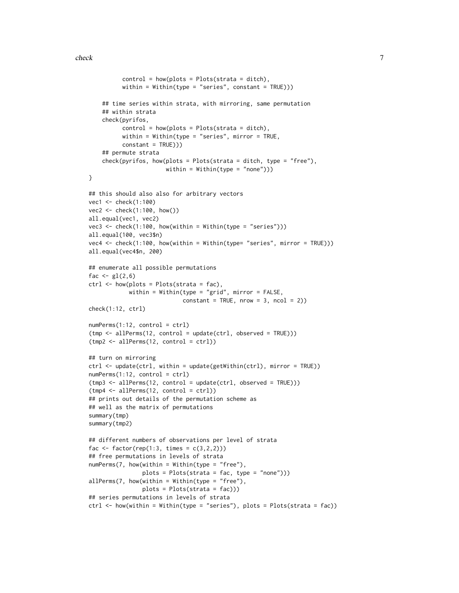```
control = how(plots = Plots(strata = ditch)),within = Within(type = "series", constant = TRUE))
    ## time series within strata, with mirroring, same permutation
    ## within strata
    check(pyrifos,
          control = how(plots = Plots(strata = ditch)),within = Within(type = "series", mirror = TRUE,
          constant = TRUE)))
    ## permute strata
    check(pyrifos, how(plots = Plots(strata = ditch, type = "free"),
                       within = Within(type = "none")))
}
## this should also also for arbitrary vectors
vec1 <- check(1:100)
vec2 <- check(1:100, how())
all.equal(vec1, vec2)
vec3 \leq check(1:100, how(within = Within(type = "series")))
all.equal(100, vec3$n)
vec4 <- check(1:100, how(within = Within(type= "series", mirror = TRUE)))
all.equal(vec4$n, 200)
## enumerate all possible permutations
fac \leftarrow gl(2, 6)ctrl \leftarrow \text{how(plots = Plots(strata = fac)},within = Within(type = "grid", mirror = FALSE,
                            constant = TRUE, nrow = 3, ncol = 2)check(1:12, ctrl)
numPerms(1:12, control = ctrl)
(tmp <- allPerms(12, control = update(ctrl, observed = TRUE)))
(tmp2 <- allPerms(12, control = ctrl))
## turn on mirroring
ctrl <- update(ctrl, within = update(getWithin(ctrl), mirror = TRUE))
numPerms(1:12, control = ctrl)
(tmp3 <- allPerms(12, control = update(ctrl, observed = TRUE)))
(tmp4 < -allPerms(12, control = ctrl))## prints out details of the permutation scheme as
## well as the matrix of permutations
summary(tmp)
summary(tmp2)
## different numbers of observations per level of strata
fac <- factor(rep(1:3, times = c(3,2,2)))
## free permutations in levels of strata
numPerms(7, how(within = Within(type = "free"),
                plots = Plots(strata = fac, type = "none")))
allPerms(7, how(within = Within(type = "free"),plots = Plots(strata = fac)))
## series permutations in levels of strata
ctrl <- how(within = Within(type = "series"), plots = Plots(strata = fac))
```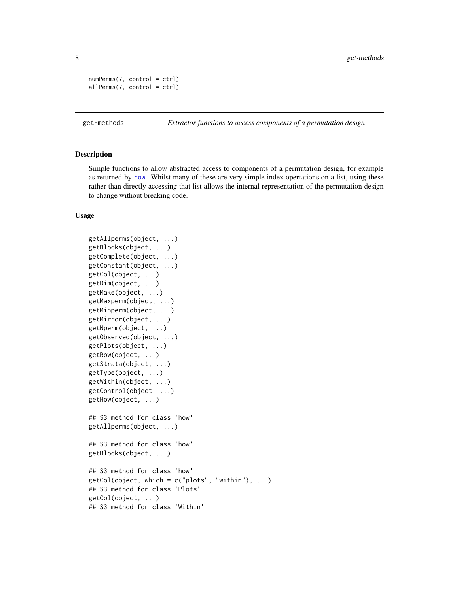```
numPerms(7, control = ctrl)
allPerms(7, control = ctrl)
```
<span id="page-7-2"></span>get-methods *Extractor functions to access components of a permutation design*

#### <span id="page-7-1"></span>**Description**

Simple functions to allow abstracted access to components of a permutation design, for example as returned by [how](#page-10-1). Whilst many of these are very simple index opertations on a list, using these rather than directly accessing that list allows the internal representation of the permutation design to change without breaking code.

#### Usage

```
getAllperms(object, ...)
getBlocks(object, ...)
getComplete(object, ...)
getConstant(object, ...)
getCol(object, ...)
getDim(object, ...)
getMake(object, ...)
getMaxperm(object, ...)
getMinperm(object, ...)
getMirror(object, ...)
getNperm(object, ...)
getObserved(object, ...)
getPlots(object, ...)
getRow(object, ...)
getStrata(object, ...)
getType(object, ...)
getWithin(object, ...)
getControl(object, ...)
getHow(object, ...)
## S3 method for class 'how'
getAllperms(object, ...)
## S3 method for class 'how'
getBlocks(object, ...)
## S3 method for class 'how'
getCol(object, which = c("plots", "within"), ...)## S3 method for class 'Plots'
getCol(object, ...)
## S3 method for class 'Within'
```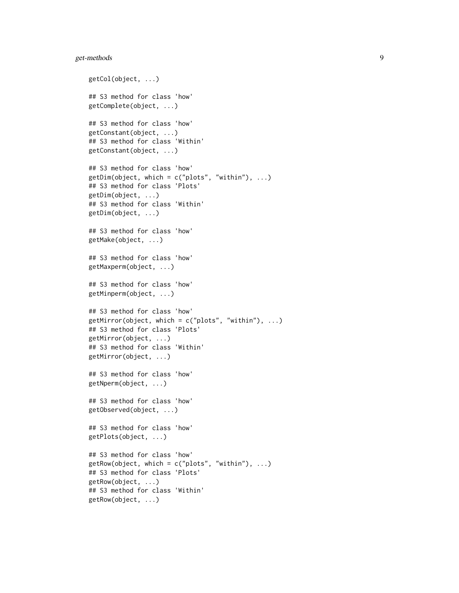# get-methods 9

```
getCol(object, ...)
## S3 method for class 'how'
getComplete(object, ...)
## S3 method for class 'how'
getConstant(object, ...)
## S3 method for class 'Within'
getConstant(object, ...)
## S3 method for class 'how'
getDim(object, which = c("plots", "within"), ...)## S3 method for class 'Plots'
getDim(object, ...)
## S3 method for class 'Within'
getDim(object, ...)
## S3 method for class 'how'
getMake(object, ...)
## S3 method for class 'how'
getMaxperm(object, ...)
## S3 method for class 'how'
getMinperm(object, ...)
## S3 method for class 'how'
getMirror(object, which = c("plots", "within"), ...)## S3 method for class 'Plots'
getMirror(object, ...)
## S3 method for class 'Within'
getMirror(object, ...)
## S3 method for class 'how'
getNperm(object, ...)
## S3 method for class 'how'
getObserved(object, ...)
## S3 method for class 'how'
getPlots(object, ...)
## S3 method for class 'how'
getRow(object, which = c("plots", "within"), ...)## S3 method for class 'Plots'
getRow(object, ...)
## S3 method for class 'Within'
getRow(object, ...)
```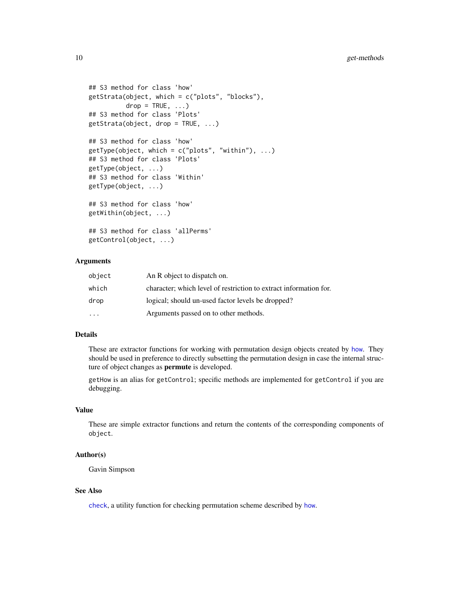```
## S3 method for class 'how'
getStrata(object, which = c("plots", "blocks"),
         drop = TRUE, ...## S3 method for class 'Plots'
getStrata(object, drop = TRUE, ...)
## S3 method for class 'how'
getType(object, which = c("plots", "within"), ...)## S3 method for class 'Plots'
getType(object, ...)
## S3 method for class 'Within'
getType(object, ...)
## S3 method for class 'how'
getWithin(object, ...)
## S3 method for class 'allPerms'
getControl(object, ...)
```
#### Arguments

| object                  | An R object to dispatch on.                                       |
|-------------------------|-------------------------------------------------------------------|
| which                   | character; which level of restriction to extract information for. |
| drop                    | logical; should un-used factor levels be dropped?                 |
| $\cdot$ $\cdot$ $\cdot$ | Arguments passed on to other methods.                             |

# Details

These are extractor functions for working with permutation design objects created by [how](#page-10-1). They should be used in preference to directly subsetting the permutation design in case the internal structure of object changes as permute is developed.

getHow is an alias for getControl; specific methods are implemented for getControl if you are debugging.

# Value

These are simple extractor functions and return the contents of the corresponding components of object.

#### Author(s)

Gavin Simpson

# See Also

[check](#page-4-2), a utility function for checking permutation scheme described by [how](#page-10-1).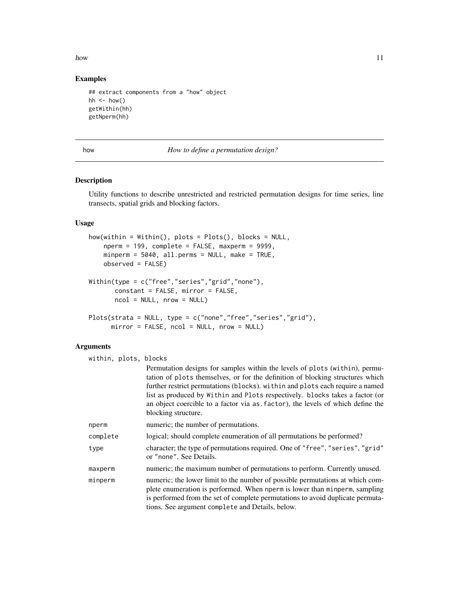<span id="page-10-0"></span>how the contract of the contract of the contract of the contract of the contract of the contract of the contract of the contract of the contract of the contract of the contract of the contract of the contract of the contra

# Examples

```
## extract components from a "how" object
hh \le how()
getWithin(hh)
getNperm(hh)
```
<span id="page-10-1"></span>

how *How to define a permutation design?*

# <span id="page-10-2"></span>Description

Utility functions to describe unrestricted and restricted permutation designs for time series, line transects, spatial grids and blocking factors.

#### Usage

```
how(within = Within(), plots = Plots(), blocks = NULL,
   nperm = 199, complete = FALSE, maxperm = 9999,
   minperm = 5040, all.perms = NULL, make = TRUE,
   observed = FALSE)
Within(type = c("free","series","grid","none"),
      constant = FALSE, mirror = FALSE,
      ncol = NULL, nrow = NULL)Plots(strata = NULL, type = c("none","free","series","grid"),
     mirror = FALSE, ncol = NULL, nrow = NULL)
```
# Arguments

| within, plots, blocks |                                                                                                                                                                                                                                                                                                                                                                                                                                         |
|-----------------------|-----------------------------------------------------------------------------------------------------------------------------------------------------------------------------------------------------------------------------------------------------------------------------------------------------------------------------------------------------------------------------------------------------------------------------------------|
|                       | Permutation designs for samples within the levels of plots (within), permu-<br>tation of plots themselves, or for the definition of blocking structures which<br>further restrict permutations (blocks). within and plots each require a named<br>list as produced by Within and Plots respectively. blocks takes a factor (or<br>an object coercible to a factor via as factor), the levels of which define the<br>blocking structure. |
| nperm                 | numeric; the number of permutations.                                                                                                                                                                                                                                                                                                                                                                                                    |
| complete              | logical; should complete enumeration of all permutations be performed?                                                                                                                                                                                                                                                                                                                                                                  |
| type                  | character; the type of permutations required. One of "free", "series", "grid"<br>or "none". See Details.                                                                                                                                                                                                                                                                                                                                |
| maxperm               | numeric; the maximum number of permutations to perform. Currently unused.                                                                                                                                                                                                                                                                                                                                                               |
| minperm               | numeric; the lower limit to the number of possible permutations at which com-<br>plete enumeration is performed. When nperm is lower than minperm, sampling<br>is performed from the set of complete permutations to avoid duplicate permuta-<br>tions. See argument complete and Details, below.                                                                                                                                       |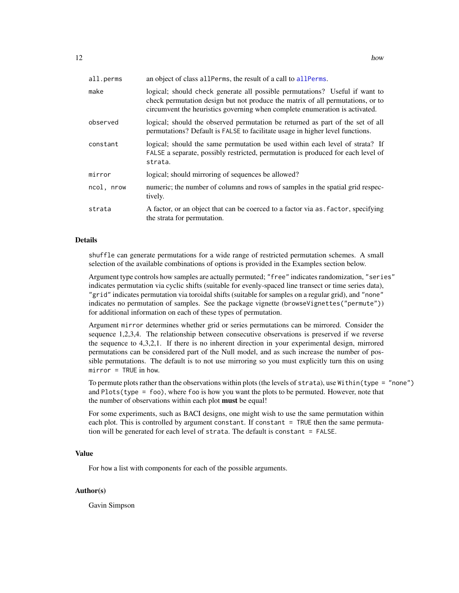<span id="page-11-0"></span>

| all.perms  | an object of class all Perms, the result of a call to all Perms.                                                                                                                                                                             |
|------------|----------------------------------------------------------------------------------------------------------------------------------------------------------------------------------------------------------------------------------------------|
| make       | logical; should check generate all possible permutations? Useful if want to<br>check permutation design but not produce the matrix of all permutations, or to<br>circumvent the heuristics governing when complete enumeration is activated. |
| observed   | logical; should the observed permutation be returned as part of the set of all<br>permutations? Default is FALSE to facilitate usage in higher level functions.                                                                              |
| constant   | logical; should the same permutation be used within each level of strata? If<br>FALSE a separate, possibly restricted, permutation is produced for each level of<br>strata.                                                                  |
| mirror     | logical; should mirroring of sequences be allowed?                                                                                                                                                                                           |
| ncol, nrow | numeric; the number of columns and rows of samples in the spatial grid respec-<br>tively.                                                                                                                                                    |
| strata     | A factor, or an object that can be coerced to a factor via as factor, specifying<br>the strata for permutation.                                                                                                                              |

# Details

shuffle can generate permutations for a wide range of restricted permutation schemes. A small selection of the available combinations of options is provided in the Examples section below.

Argument type controls how samples are actually permuted; "free" indicates randomization, "series" indicates permutation via cyclic shifts (suitable for evenly-spaced line transect or time series data), "grid" indicates permutation via toroidal shifts (suitable for samples on a regular grid), and "none" indicates no permutation of samples. See the package vignette (browseVignettes("permute")) for additional information on each of these types of permutation.

Argument mirror determines whether grid or series permutations can be mirrored. Consider the sequence 1,2,3,4. The relationship between consecutive observations is preserved if we reverse the sequence to 4,3,2,1. If there is no inherent direction in your experimental design, mirrored permutations can be considered part of the Null model, and as such increase the number of possible permutations. The default is to not use mirroring so you must explicitly turn this on using mirror = TRUE in how.

To permute plots rather than the observations within plots (the levels of strata), use Within(type = "none") and  $Plots(type = foo)$ , where foo is how you want the plots to be permuted. However, note that the number of observations within each plot **must** be equal!

For some experiments, such as BACI designs, one might wish to use the same permutation within each plot. This is controlled by argument constant. If constant = TRUE then the same permutation will be generated for each level of strata. The default is constant = FALSE.

# Value

For how a list with components for each of the possible arguments.

# Author(s)

Gavin Simpson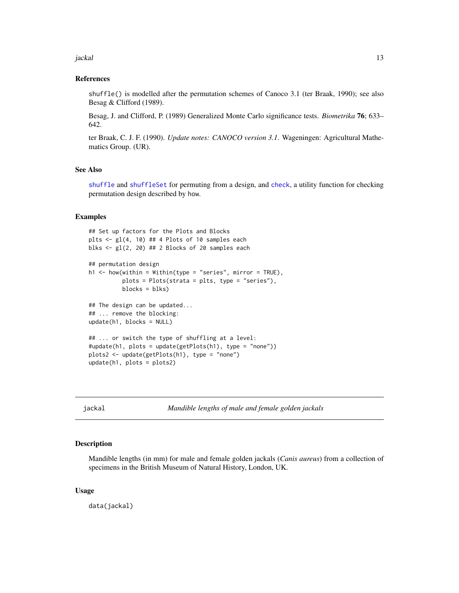<span id="page-12-0"></span>jackal 13

#### References

shuffle() is modelled after the permutation schemes of Canoco 3.1 (ter Braak, 1990); see also Besag & Clifford (1989).

Besag, J. and Clifford, P. (1989) Generalized Monte Carlo significance tests. *Biometrika* 76; 633– 642.

ter Braak, C. J. F. (1990). *Update notes: CANOCO version 3.1*. Wageningen: Agricultural Mathematics Group. (UR).

#### See Also

[shuffle](#page-18-1) and [shuffleSet](#page-23-1) for permuting from a design, and [check](#page-4-2), a utility function for checking permutation design described by how.

#### Examples

```
## Set up factors for the Plots and Blocks
plts \leftarrow gl(4, 10) ## 4 Plots of 10 samples each
blks \leftarrow gl(2, 20) ## 2 Blocks of 20 samples each
## permutation design
h1 \le how(within = Within(type = "series", mirror = TRUE),
          plots = Plots(strata = plts, type = "series"),
          blocks = blks)
## The design can be updated...
## ... remove the blocking:
update(h1, blocks = NULL)
## ... or switch the type of shuffling at a level:
#update(h1, plots = update(getPlots(h1), type = "none"))
plots2 <- update(getPlots(h1), type = "none")
update(h1, plots = plots2)
```
jackal *Mandible lengths of male and female golden jackals*

#### Description

Mandible lengths (in mm) for male and female golden jackals (*Canis aureus*) from a collection of specimens in the British Museum of Natural History, London, UK.

#### Usage

data(jackal)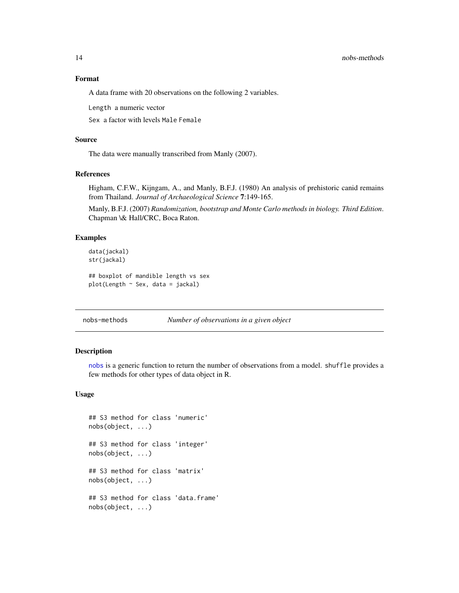# Format

A data frame with 20 observations on the following 2 variables.

Length a numeric vector

Sex a factor with levels Male Female

#### Source

The data were manually transcribed from Manly (2007).

#### References

Higham, C.F.W., Kijngam, A., and Manly, B.F.J. (1980) An analysis of prehistoric canid remains from Thailand. *Journal of Archaeological Science* 7:149-165.

Manly, B.F.J. (2007) *Randomization, bootstrap and Monte Carlo methods in biology. Third Edition*. Chapman \& Hall/CRC, Boca Raton.

#### Examples

```
data(jackal)
str(jackal)
## boxplot of mandible length vs sex
plot(Length ~ Sex, data = jackal)
```
<span id="page-13-1"></span>nobs-methods *Number of observations in a given object*

#### Description

[nobs](#page-0-0) is a generic function to return the number of observations from a model. shuffle provides a few methods for other types of data object in R.

#### Usage

```
## S3 method for class 'numeric'
nobs(object, ...)
## S3 method for class 'integer'
nobs(object, ...)
## S3 method for class 'matrix'
nobs(object, ...)
## S3 method for class 'data.frame'
nobs(object, ...)
```
<span id="page-13-0"></span>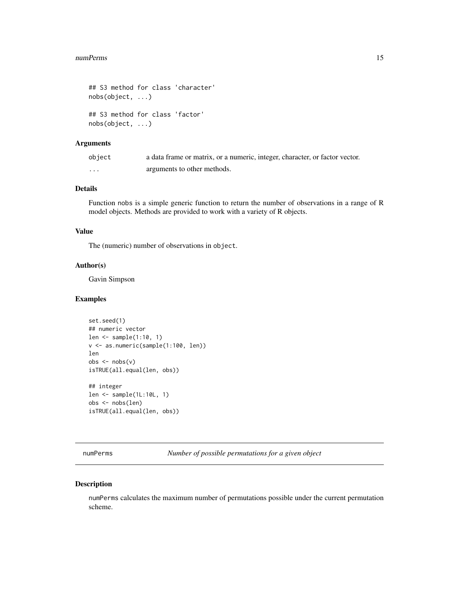#### <span id="page-14-0"></span>numPerms 15

```
## S3 method for class 'character'
nobs(object, ...)
## S3 method for class 'factor'
nobs(object, ...)
```
### Arguments

| object            | a data frame or matrix, or a numeric, integer, character, or factor vector. |
|-------------------|-----------------------------------------------------------------------------|
| $\cdot\cdot\cdot$ | arguments to other methods.                                                 |

# Details

Function nobs is a simple generic function to return the number of observations in a range of R model objects. Methods are provided to work with a variety of R objects.

# Value

The (numeric) number of observations in object.

## Author(s)

Gavin Simpson

# Examples

```
set.seed(1)
## numeric vector
len <- sample(1:10, 1)
v <- as.numeric(sample(1:100, len))
len
obs < -nobs(v)isTRUE(all.equal(len, obs))
## integer
len <- sample(1L:10L, 1)
obs <- nobs(len)
isTRUE(all.equal(len, obs))
```
<span id="page-14-1"></span>numPerms *Number of possible permutations for a given object*

#### Description

numPerms calculates the maximum number of permutations possible under the current permutation scheme.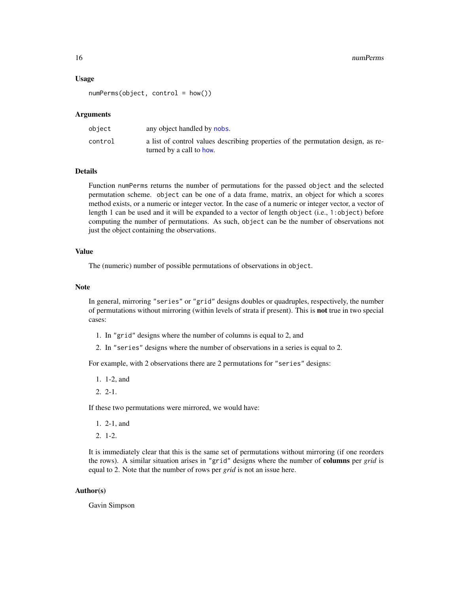#### Usage

numPerms(object, control = how())

#### Arguments

| object  | any object handled by nobs.                                                                                  |
|---------|--------------------------------------------------------------------------------------------------------------|
| control | a list of control values describing properties of the permutation design, as re-<br>turned by a call to how. |

#### Details

Function numPerms returns the number of permutations for the passed object and the selected permutation scheme. object can be one of a data frame, matrix, an object for which a scores method exists, or a numeric or integer vector. In the case of a numeric or integer vector, a vector of length 1 can be used and it will be expanded to a vector of length object (i.e., 1:object) before computing the number of permutations. As such, object can be the number of observations not just the object containing the observations.

# Value

The (numeric) number of possible permutations of observations in object.

#### Note

In general, mirroring "series" or "grid" designs doubles or quadruples, respectively, the number of permutations without mirroring (within levels of strata if present). This is not true in two special cases:

- 1. In "grid" designs where the number of columns is equal to 2, and
- 2. In "series" designs where the number of observations in a series is equal to 2.

For example, with 2 observations there are 2 permutations for "series" designs:

- 1. 1-2, and
- 2. 2-1.

If these two permutations were mirrored, we would have:

- 1. 2-1, and
- 2. 1-2.

It is immediately clear that this is the same set of permutations without mirroring (if one reorders the rows). A similar situation arises in "grid" designs where the number of columns per *grid* is equal to 2. Note that the number of rows per *grid* is not an issue here.

### Author(s)

Gavin Simpson

<span id="page-15-0"></span>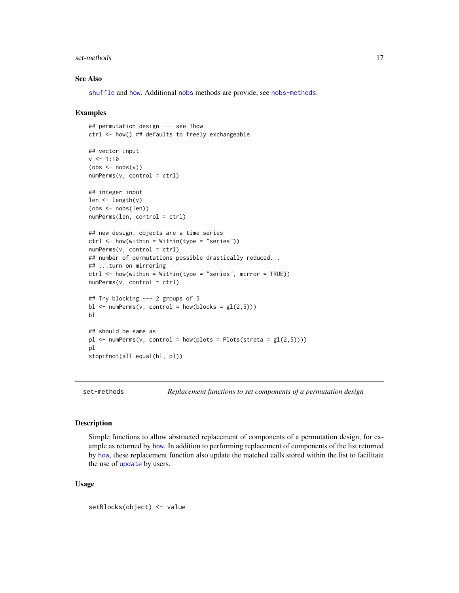#### <span id="page-16-0"></span>set-methods and the set-methods of  $\sim$  17

#### See Also

[shuffle](#page-18-1) and [how](#page-10-1). Additional [nobs](#page-0-0) methods are provide, see [nobs-methods](#page-13-1).

#### Examples

```
## permutation design --- see ?how
ctrl <- how() ## defaults to freely exchangeable
## vector input
v <- 1:10
(obs < -nobs(v))numPerms(v, control = ctrl)## integer input
len \leftarrow length(v)
(obs <- nobs(len))
numPerms(len, control = ctrl)
## new design, objects are a time series
ctrl \leftarrow \text{how}(\text{within} = \text{Within}(\text{type} = \text{"series"))numPerms(v, control = ctrl)## number of permutations possible drastically reduced...
## ...turn on mirroring
ctrl \leq \text{how}(\text{within} = \text{Within}(\text{type} = \text{"series", \text{ mirror} = \text{TRUE}}))numPerms(v, control = ctrl)## Try blocking --- 2 groups of 5
bl \leq -\text{numPerms}(v, \text{control} = \text{how}(\text{blocks} = gl(2,5)))bl
## should be same as
p1 \leq -\text{numPerms}(v, \text{control} = \text{how(plots} = \text{Plots}(\text{strata} = \text{gl}(2,5))))pl
stopifnot(all.equal(bl, pl))
```
set-methods *Replacement functions to set components of a permutation design*

#### Description

Simple functions to allow abstracted replacement of components of a permutation design, for example as returned by [how](#page-10-1). In addition to performing replacement of components of the list returned by [how](#page-10-1), these replacement function also update the matched calls stored within the list to facilitate the use of [update](#page-0-0) by users.

#### Usage

setBlocks(object) <- value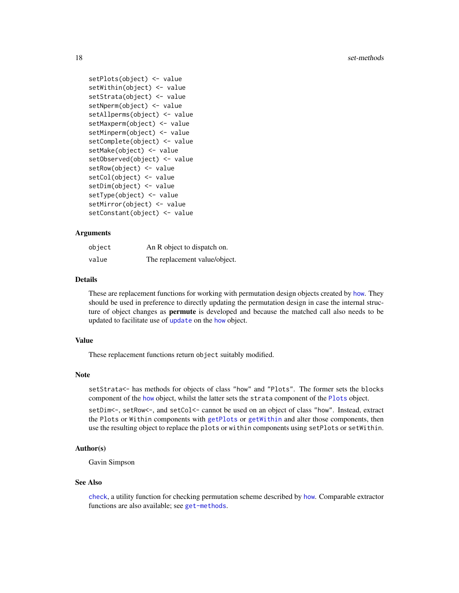#### <span id="page-17-0"></span>18 set-methods and the set-methods of the set-methods of the set-methods of the set-methods of the set-methods of the set-methods of the set-methods of the set-methods of the set-methods of the set-methods of the set-metho

```
setPlots(object) <- value
setWithin(object) <- value
setStrata(object) <- value
setNperm(object) <- value
setAllperms(object) <- value
setMaxperm(object) <- value
setMinperm(object) <- value
setComplete(object) <- value
setMake(object) <- value
setObserved(object) <- value
setRow(object) <- value
setCol(object) <- value
setDim(object) <- value
setType(object) <- value
setMirror(object) <- value
setConstant(object) <- value
```
# Arguments

| object | An R object to dispatch on.   |
|--------|-------------------------------|
| value  | The replacement value/object. |

#### Details

These are replacement functions for working with permutation design objects created by [how](#page-10-1). They should be used in preference to directly updating the permutation design in case the internal structure of object changes as **permute** is developed and because the matched call also needs to be [update](#page-0-0)d to facilitate use of update on the [how](#page-10-1) object.

#### Value

These replacement functions return object suitably modified.

#### Note

setStrata<- has methods for objects of class "how" and "Plots". The former sets the blocks component of the [how](#page-10-1) object, whilst the latter sets the strata component of the [Plots](#page-10-2) object.

setDim<-, setRow<-, and setCol<- cannot be used on an object of class "how". Instead, extract the Plots or Within components with [getPlots](#page-7-1) or [getWithin](#page-7-1) and alter those components, then use the resulting object to replace the plots or within components using setPlots or setWithin.

# Author(s)

Gavin Simpson

#### See Also

[check](#page-4-2), a utility function for checking permutation scheme described by [how](#page-10-1). Comparable extractor functions are also available; see [get-methods](#page-7-2).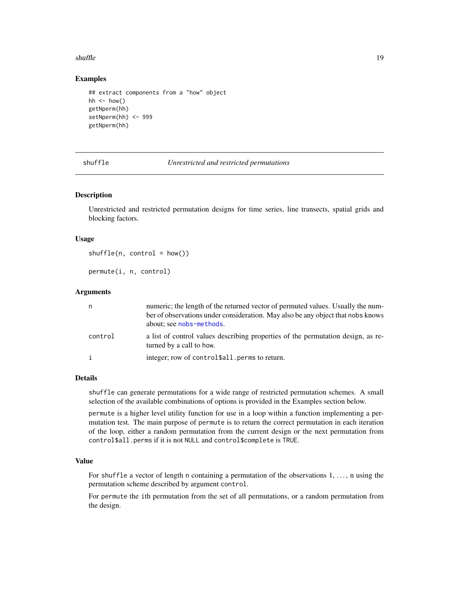#### <span id="page-18-0"></span>shuffle that the state of the state of the state of the state of the state of the state of the state of the state of the state of the state of the state of the state of the state of the state of the state of the state of t

### Examples

```
## extract components from a "how" object
hh \le how()
getNperm(hh)
setNperm(hh) <- 999
getNperm(hh)
```
<span id="page-18-1"></span>shuffle *Unrestricted and restricted permutations*

#### Description

Unrestricted and restricted permutation designs for time series, line transects, spatial grids and blocking factors.

#### Usage

 $shuffle(n, control = how())$ 

permute(i, n, control)

# Arguments

| n            | numeric; the length of the returned vector of permuted values. Usually the num-<br>ber of observations under consideration. May also be any object that nobs knows<br>about; see nobs-methods. |
|--------------|------------------------------------------------------------------------------------------------------------------------------------------------------------------------------------------------|
| control      | a list of control values describing properties of the permutation design, as re-<br>turned by a call to how.                                                                                   |
| $\mathbf{i}$ | integer; row of control \$all. perms to return.                                                                                                                                                |

#### Details

shuffle can generate permutations for a wide range of restricted permutation schemes. A small selection of the available combinations of options is provided in the Examples section below.

permute is a higher level utility function for use in a loop within a function implementing a permutation test. The main purpose of permute is to return the correct permutation in each iteration of the loop, either a random permutation from the current design or the next permutation from control\$all.perms if it is not NULL and control\$complete is TRUE.

# Value

For shuffle a vector of length n containing a permutation of the observations 1, ..., n using the permutation scheme described by argument control.

For permute the ith permutation from the set of all permutations, or a random permutation from the design.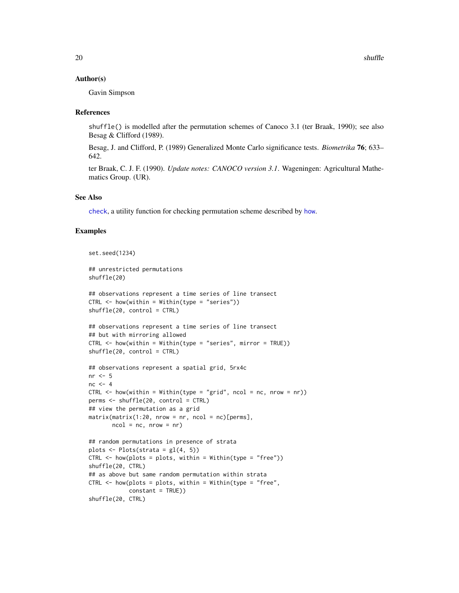#### <span id="page-19-0"></span>Author(s)

Gavin Simpson

#### References

shuffle() is modelled after the permutation schemes of Canoco 3.1 (ter Braak, 1990); see also Besag & Clifford (1989).

Besag, J. and Clifford, P. (1989) Generalized Monte Carlo significance tests. *Biometrika* 76; 633– 642.

ter Braak, C. J. F. (1990). *Update notes: CANOCO version 3.1*. Wageningen: Agricultural Mathematics Group. (UR).

#### See Also

[check](#page-4-2), a utility function for checking permutation scheme described by [how](#page-10-1).

#### Examples

```
set.seed(1234)
## unrestricted permutations
shuffle(20)
## observations represent a time series of line transect
CTRL \leq -\hbox{how}(within = Within(type = "series"))shuffle(20, control = CTRL)
## observations represent a time series of line transect
## but with mirroring allowed
CTRL <- how(within = Within(type = "series", mirror = TRUE))
shuffle(20, control = CTRL)
## observations represent a spatial grid, 5rx4c
nr <- 5
nc < -4CTRL \leq how(within = Within(type = "grid", ncol = nc, nrow = nr))
perms <- shuffle(20, control = CTRL)
## view the permutation as a grid
matrix(maxrix(1:20, nrow = nr, ncol = nc)[perms],ncol = nc, nrow = nr)
## random permutations in presence of strata
plots \leftarrow Plots(strata = gl(4, 5))
CTRL \leq -how(plots = plots, within = Within(type = "free"))shuffle(20, CTRL)
## as above but same random permutation within strata
CTRL \leq how(plots = plots, within = Within(type = "free",
            constant = TRUE))
shuffle(20, CTRL)
```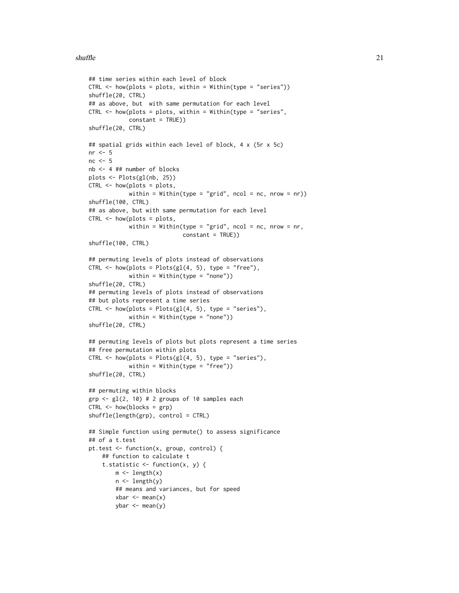#### $\mu$ shuffle  $\mu$  21

```
## time series within each level of block
CTRL \leq -\hbox{how(plots = plots, within = Within(type = "series"))shuffle(20, CTRL)
## as above, but with same permutation for each level
CTRL \leq -how(plots = plots, within = Within(type = "series",constant = TRUE))
shuffle(20, CTRL)
## spatial grids within each level of block, 4 x (5r x 5c)
nr \leq -5nc < -5nb <- 4 ## number of blocks
plots <- Plots(gl(nb, 25))
CTRL \leq - \text{how(plots = plots},within = Within(type = "grid", ncol = nc, nrow = nr))
shuffle(100, CTRL)
## as above, but with same permutation for each level
CTRL <- how(plots = plots,
            within = Within(type = "grid", ncol = nc, nrow = nr,
                             constant = TRUE))
shuffle(100, CTRL)
## permuting levels of plots instead of observations
CTRL \leq how(plots = Plots(gl(4, 5), type = "free"),
            within = Within(type = "none"))
shuffle(20, CTRL)
## permuting levels of plots instead of observations
## but plots represent a time series
CTRL \leq how(plots = Plots(gl(4, 5), type = "series"),
            within = Within(type = "none"))
shuffle(20, CTRL)
## permuting levels of plots but plots represent a time series
## free permutation within plots
CTRL \leq how(plots = Plots(gl(4, 5), type = "series"),
            within = Within(type = "free"))
shuffle(20, CTRL)
## permuting within blocks
grp \le -g1(2, 10) # 2 groups of 10 samples each
CTRL \leq -how(blocks = grp)shuffle(length(grp), control = CTRL)
## Simple function using permute() to assess significance
## of a t.test
pt.test <- function(x, group, control) {
    ## function to calculate t
    t.statistic \leq function(x, y) {
        m \leftarrow length(x)
        n <- length(y)
        ## means and variances, but for speed
        xbar < - mean(x)ybar \leq mean(y)
```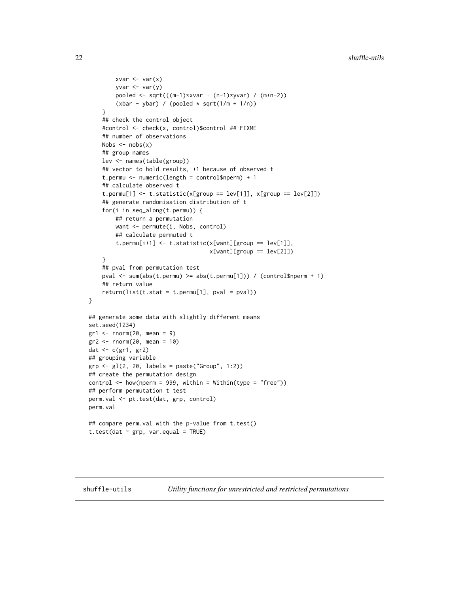```
xvar < -var(x)yvar \leq var(y)pooled <- sqrt(((m-1)*xvar + (n-1)*yvar) / (m+n-2))
        (xbar - ybar) / (pooled * sqrt(1/m + 1/n))}
    ## check the control object
    #control <- check(x, control)$control ## FIXME
    ## number of observations
    Nobs \leq nobs(x)## group names
    lev <- names(table(group))
    ## vector to hold results, +1 because of observed t
    t.permu <- numeric(length = control$nperm) + 1
    ## calculate observed t
    t.perm[1] \leftarrow t.statistic(x[group == lev[1]], x[group == lev[2]])## generate randomisation distribution of t
    for(i in seq_along(t.permu)) {
        ## return a permutation
        want <- permute(i, Nobs, control)
        ## calculate permuted t
        t.permu[i+1] <- t.statistic(x[want][group == lev[1]],
                                    x[want][group == lev[2]]}
    ## pval from permutation test
    pval <- sum(abs(t.permu) >= abs(t.permu[1])) / (control$nperm + 1)
    ## return value
    return(list(t.start = t.permu[1], pval = pval))}
## generate some data with slightly different means
set.seed(1234)
gr1 <- rnorm(20, mean = 9)gr2 < -rnorm(20, mean = 10)dat <- c(gr1, gr2)
## grouping variable
grp <- gl(2, 20, labels = paste("Group", 1:2))
## create the permutation design
control \leq how(nperm = 999, within = Within(type = "free"))
## perform permutation t test
perm.val <- pt.test(dat, grp, control)
perm.val
## compare perm.val with the p-value from t.test()
t.test(dat \sim grp, var.equal = TRUE)
```
shuffle-utils *Utility functions for unrestricted and restricted permutations*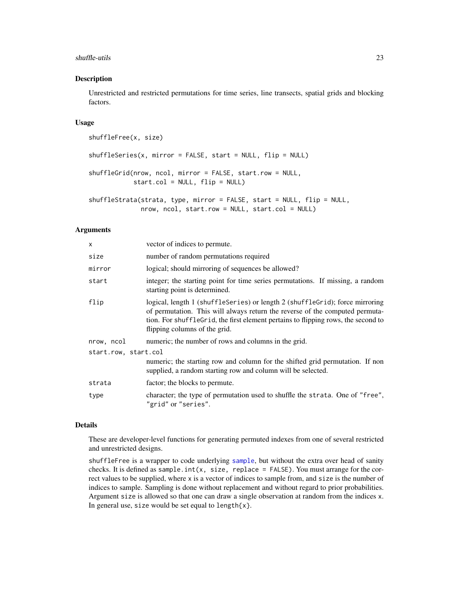#### <span id="page-22-0"></span>shuffle-utils 23

#### Description

Unrestricted and restricted permutations for time series, line transects, spatial grids and blocking factors.

# Usage

```
shuffleFree(x, size)
shuffleSeries(x, mirror = FALSE, start = NULL, flip = NULL)
shuffleGrid(nrow, ncol, mirror = FALSE, start.row = NULL,
            start.col = NULL, flip = NULL)
shuffleStrata(strata, type, mirror = FALSE, start = NULL, flip = NULL,
              nrow, ncol, start.row = NULL, start.col = NULL)
```
#### **Arguments**

| X                    | vector of indices to permute.                                                                                                                                                                                                                                                      |
|----------------------|------------------------------------------------------------------------------------------------------------------------------------------------------------------------------------------------------------------------------------------------------------------------------------|
| size                 | number of random permutations required                                                                                                                                                                                                                                             |
| mirror               | logical; should mirroring of sequences be allowed?                                                                                                                                                                                                                                 |
| start                | integer; the starting point for time series permutations. If missing, a random<br>starting point is determined.                                                                                                                                                                    |
| flip                 | logical, length 1 (shuffleSeries) or length 2 (shuffleGrid); force mirroring<br>of permutation. This will always return the reverse of the computed permuta-<br>tion. For shufflegrid, the first element pertains to flipping rows, the second to<br>flipping columns of the grid. |
| nrow, ncol           | numeric; the number of rows and columns in the grid.                                                                                                                                                                                                                               |
| start.row, start.col |                                                                                                                                                                                                                                                                                    |
|                      | numeric; the starting row and column for the shifted grid permutation. If non<br>supplied, a random starting row and column will be selected.                                                                                                                                      |
| strata               | factor; the blocks to permute.                                                                                                                                                                                                                                                     |
| type                 | character; the type of permutation used to shuffle the strata. One of "free",<br>"grid" or "series".                                                                                                                                                                               |

# Details

These are developer-level functions for generating permuted indexes from one of several restricted and unrestricted designs.

shuffleFree is a wrapper to code underlying [sample](#page-0-0), but without the extra over head of sanity checks. It is defined as sample.int(x, size, replace = FALSE). You must arrange for the correct values to be supplied, where x is a vector of indices to sample from, and size is the number of indices to sample. Sampling is done without replacement and without regard to prior probabilities. Argument size is allowed so that one can draw a single observation at random from the indices x. In general use, size would be set equal to length $\{x\}$ .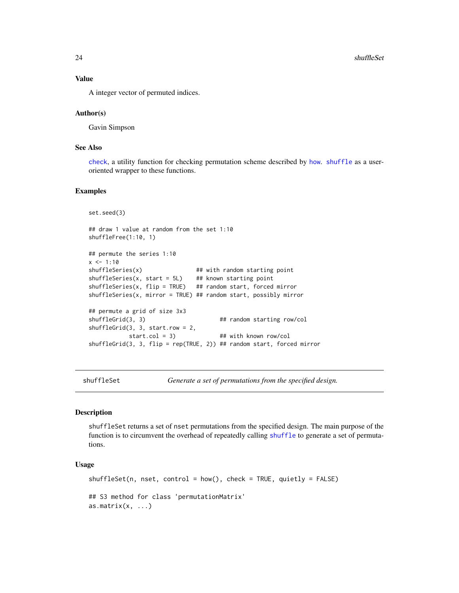# Value

A integer vector of permuted indices.

#### Author(s)

Gavin Simpson

# See Also

[check](#page-4-2), a utility function for checking permutation scheme described by [how](#page-10-1). [shuffle](#page-18-1) as a useroriented wrapper to these functions.

#### Examples

```
set.seed(3)
## draw 1 value at random from the set 1:10
shuffleFree(1:10, 1)
## permute the series 1:10
x < -1:10shuffleSeries(x) \qquad ## with random starting point
shuffleSeries(x, start = 5L) ## known starting point
shuffleSeries(x, flip = TRUE) ## random start, forced mirror
shuffleSeries(x, mirror = TRUE) ## random start, possibly mirror
## permute a grid of size 3x3
shuffleGrid(3, 3) ## random starting row/col
shuffleGrid(3, 3, start.row = 2,
           start.col = 3) ## with known row/col
shuffleGrid(3, 3, flip = rep(TRUE, 2)) ## random start, forced mirror
```
<span id="page-23-1"></span>shuffleSet *Generate a set of permutations from the specified design.*

#### Description

shuffleSet returns a set of nset permutations from the specified design. The main purpose of the function is to circumvent the overhead of repeatedly calling [shuffle](#page-18-1) to generate a set of permutations.

# Usage

```
shuffleSet(n, nest, control = how(), check = TRUE, quietly = FALSE)## S3 method for class 'permutationMatrix'
as.matrix(x, \ldots)
```
<span id="page-23-0"></span>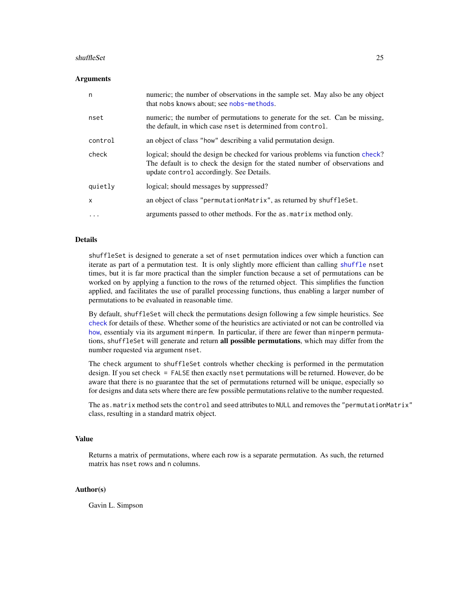#### <span id="page-24-0"></span>shuffleSet 25

#### **Arguments**

| n       | numeric; the number of observations in the sample set. May also be any object<br>that nobs knows about; see nobs-methods.                                                                                  |
|---------|------------------------------------------------------------------------------------------------------------------------------------------------------------------------------------------------------------|
| nset    | numeric; the number of permutations to generate for the set. Can be missing,<br>the default, in which case nset is determined from control.                                                                |
| control | an object of class "how" describing a valid permutation design.                                                                                                                                            |
| check   | logical; should the design be checked for various problems via function check?<br>The default is to check the design for the stated number of observations and<br>update control accordingly. See Details. |
| quietly | logical; should messages by suppressed?                                                                                                                                                                    |
| X       | an object of class "permutationMatrix", as returned by shuffleSet.                                                                                                                                         |
| .       | arguments passed to other methods. For the as matrix method only.                                                                                                                                          |

# Details

shuffleSet is designed to generate a set of nset permutation indices over which a function can iterate as part of a permutation test. It is only slightly more efficient than calling [shuffle](#page-18-1) nset times, but it is far more practical than the simpler function because a set of permutations can be worked on by applying a function to the rows of the returned object. This simplifies the function applied, and facilitates the use of parallel processing functions, thus enabling a larger number of permutations to be evaluated in reasonable time.

By default, shuffleSet will check the permutations design following a few simple heuristics. See [check](#page-4-2) for details of these. Whether some of the heuristics are activiated or not can be controlled via [how](#page-10-1), essentialy via its argument minperm. In particular, if there are fewer than minperm permutations, shuffleSet will generate and return all possible permutations, which may differ from the number requested via argument nset.

The check argument to shuffleSet controls whether checking is performed in the permutation design. If you set check = FALSE then exactly nset permutations will be returned. However, do be aware that there is no guarantee that the set of permutations returned will be unique, especially so for designs and data sets where there are few possible permutations relative to the number requested.

The as.matrix method sets the control and seed attributes to NULL and removes the "permutationMatrix" class, resulting in a standard matrix object.

#### Value

Returns a matrix of permutations, where each row is a separate permutation. As such, the returned matrix has nset rows and n columns.

#### Author(s)

Gavin L. Simpson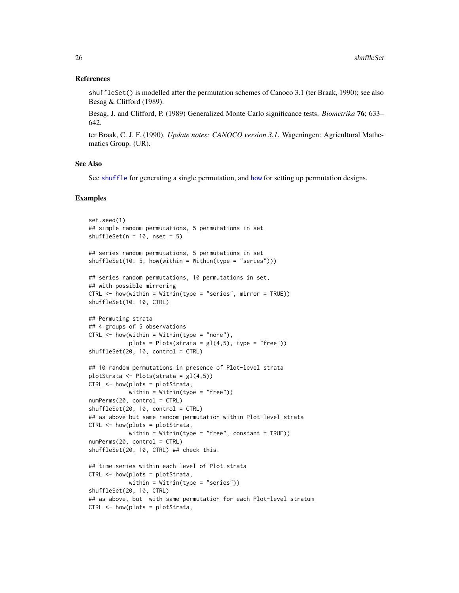#### <span id="page-25-0"></span>References

shuffleSet() is modelled after the permutation schemes of Canoco 3.1 (ter Braak, 1990); see also Besag & Clifford (1989).

Besag, J. and Clifford, P. (1989) Generalized Monte Carlo significance tests. *Biometrika* 76; 633– 642.

ter Braak, C. J. F. (1990). *Update notes: CANOCO version 3.1*. Wageningen: Agricultural Mathematics Group. (UR).

#### See Also

See [shuffle](#page-18-1) for generating a single permutation, and [how](#page-10-1) for setting up permutation designs.

#### Examples

```
set.seed(1)
## simple random permutations, 5 permutations in set
shuffleSet(n = 10, nset = 5)
## series random permutations, 5 permutations in set
shuffleSet(10, 5, how(within = Within(type = "series"))## series random permutations, 10 permutations in set,
## with possible mirroring
CTRL <- how(within = Within(type = "series", mirror = TRUE))
shuffleSet(10, 10, CTRL)
## Permuting strata
## 4 groups of 5 observations
CTRL < - \hbox{how}(within = Within(type = "none"),plots = Plots(strata = gl(4,5), type = "free")shuffleSet(20, 10, control = CTRL)
## 10 random permutations in presence of Plot-level strata
plotStrata <- Plots(strata = gl(4,5))
CTRL <- how(plots = plotStrata,
           within = Within(type = "free"))
numPerms(20, control = CTRL)
shuffleSet(20, 10, control = CTRL)## as above but same random permutation within Plot-level strata
CTRL <- how(plots = plotStrata,
            within = Within(type = "free", constant = TRUE))
numPerms(20, control = CTRL)
shuffleSet(20, 10, CTRL) ## check this.
## time series within each level of Plot strata
CTRL <- how(plots = plotStrata,
            within = Within(type = "series")shuffleSet(20, 10, CTRL)
## as above, but with same permutation for each Plot-level stratum
CTRL <- how(plots = plotStrata,
```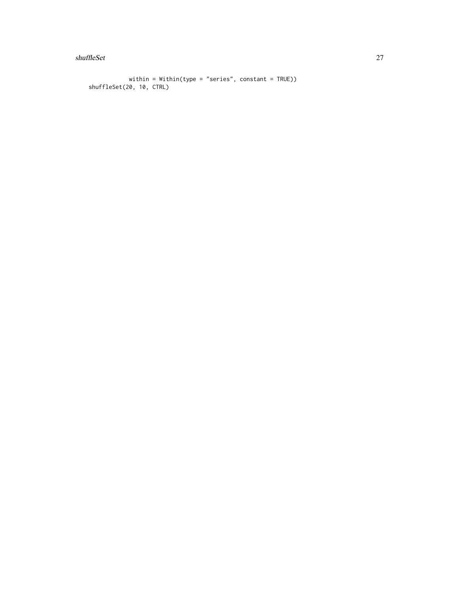shuffleSet 27

```
within = Within(type = "series", constant = TRUE))
shuffleSet(20, 10, CTRL)
```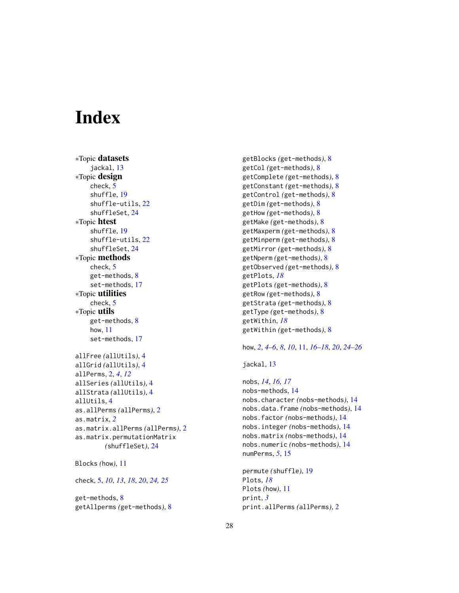# <span id="page-27-0"></span>**Index**

∗Topic datasets jackal, [13](#page-12-0) ∗Topic design check, [5](#page-4-0) shuffle, [19](#page-18-0) shuffle-utils, [22](#page-21-0) shuffleSet, [24](#page-23-0) ∗Topic htest shuffle, [19](#page-18-0) shuffle-utils, [22](#page-21-0) shuffleSet, [24](#page-23-0) ∗Topic methods check, [5](#page-4-0) get-methods, [8](#page-7-0) set-methods, [17](#page-16-0) ∗Topic utilities check, [5](#page-4-0) ∗Topic utils get-methods, [8](#page-7-0) how, [11](#page-10-0) set-methods, [17](#page-16-0) allFree *(*allUtils*)*, [4](#page-3-0) allGrid *(*allUtils*)*, [4](#page-3-0) allPerms, [2,](#page-1-0) *[4](#page-3-0)*, *[12](#page-11-0)* allSeries *(*allUtils*)*, [4](#page-3-0) allStrata *(*allUtils*)*, [4](#page-3-0) allUtils, [4](#page-3-0) as.allPerms *(*allPerms*)*, [2](#page-1-0) as.matrix, *[2](#page-1-0)* as.matrix.allPerms *(*allPerms*)*, [2](#page-1-0) as.matrix.permutationMatrix *(*shuffleSet*)*, [24](#page-23-0)

```
Blocks (how), 11
```
check, [5,](#page-4-0) *[10](#page-9-0)*, *[13](#page-12-0)*, *[18](#page-17-0)*, *[20](#page-19-0)*, *[24,](#page-23-0) [25](#page-24-0)*

get-methods, [8](#page-7-0) getAllperms *(*get-methods*)*, [8](#page-7-0) getBlocks *(*get-methods*)*, [8](#page-7-0) getCol *(*get-methods*)*, [8](#page-7-0) getComplete *(*get-methods*)*, [8](#page-7-0) getConstant *(*get-methods*)*, [8](#page-7-0) getControl *(*get-methods*)*, [8](#page-7-0) getDim *(*get-methods*)*, [8](#page-7-0) getHow *(*get-methods*)*, [8](#page-7-0) getMake *(*get-methods*)*, [8](#page-7-0) getMaxperm *(*get-methods*)*, [8](#page-7-0) getMinperm *(*get-methods*)*, [8](#page-7-0) getMirror *(*get-methods*)*, [8](#page-7-0) getNperm *(*get-methods*)*, [8](#page-7-0) getObserved *(*get-methods*)*, [8](#page-7-0) getPlots, *[18](#page-17-0)* getPlots *(*get-methods*)*, [8](#page-7-0) getRow *(*get-methods*)*, [8](#page-7-0) getStrata *(*get-methods*)*, [8](#page-7-0) getType *(*get-methods*)*, [8](#page-7-0) getWithin, *[18](#page-17-0)* getWithin *(*get-methods*)*, [8](#page-7-0)

# how, *[2](#page-1-0)*, *[4–](#page-3-0)[6](#page-5-0)*, *[8](#page-7-0)*, *[10](#page-9-0)*, [11,](#page-10-0) *[16](#page-15-0)[–18](#page-17-0)*, *[20](#page-19-0)*, *[24](#page-23-0)[–26](#page-25-0)*

jackal, [13](#page-12-0)

nobs, *[14](#page-13-0)*, *[16,](#page-15-0) [17](#page-16-0)* nobs-methods, [14](#page-13-0) nobs.character *(*nobs-methods*)*, [14](#page-13-0) nobs.data.frame *(*nobs-methods*)*, [14](#page-13-0) nobs.factor *(*nobs-methods*)*, [14](#page-13-0) nobs.integer *(*nobs-methods*)*, [14](#page-13-0) nobs.matrix *(*nobs-methods*)*, [14](#page-13-0) nobs.numeric *(*nobs-methods*)*, [14](#page-13-0) numPerms, *[5](#page-4-0)*, [15](#page-14-0)

```
permute (shuffle), 19
Plots, 18
Plots (how), 11
print, 3
print.allPerms (allPerms), 2
```